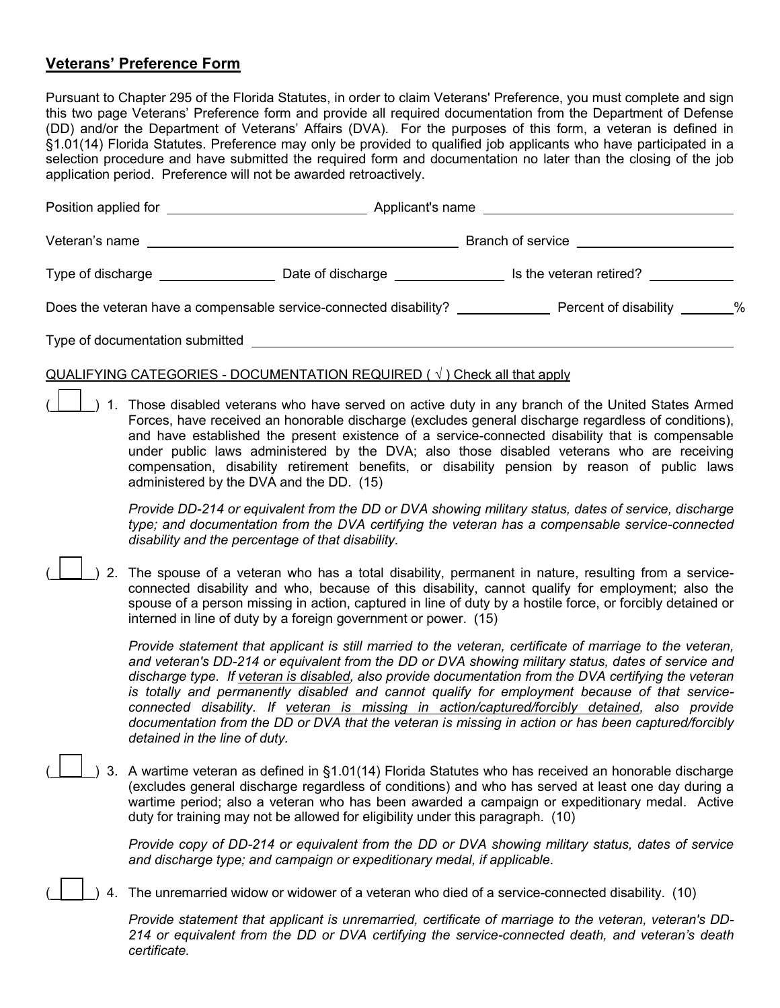## **Veterans' Preference Form**

Pursuant to Chapter 295 of the Florida Statutes, in order to claim Veterans' Preference, you must complete and sign this two page Veterans' Preference form and provide all required documentation from the Department of Defense (DD) and/or the Department of Veterans' Affairs (DVA). For the purposes of this form, a veteran is defined in §1.01(14) Florida Statutes. Preference may only be provided to qualified job applicants who have participated in a selection procedure and have submitted the required form and documentation no later than the closing of the job application period. Preference will not be awarded retroactively.

| Position applied for the contract of the contract of the contract of the contract of the contract of the contract of the contract of the contract of the contract of the contract of the contract of the contract of the contr |                                                                 |                         |  |
|--------------------------------------------------------------------------------------------------------------------------------------------------------------------------------------------------------------------------------|-----------------------------------------------------------------|-------------------------|--|
|                                                                                                                                                                                                                                |                                                                 |                         |  |
|                                                                                                                                                                                                                                |                                                                 |                         |  |
| Does the veteran have a compensable service-connected disability?                                                                                                                                                              |                                                                 | Percent of disability % |  |
|                                                                                                                                                                                                                                | Type of documentation submitted Type of documentation submitted |                         |  |

## QUALIFYING CATEGORIES - DOCUMENTATION REQUIRED  $(\sqrt{})$  Check all that apply

) 1. Those disabled veterans who have served on active duty in any branch of the United States Armed Forces, have received an honorable discharge (excludes general discharge regardless of conditions), and have established the present existence of a service-connected disability that is compensable under public laws administered by the DVA; also those disabled veterans who are receiving compensation, disability retirement benefits, or disability pension by reason of public laws administered by the DVA and the DD. (15)

*Provide DD-214 or equivalent from the DD or DVA showing military status, dates of service, discharge type; and documentation from the DVA certifying the veteran has a compensable service-connected disability and the percentage of that disability.* 

) 2. The spouse of a veteran who has a total disability, permanent in nature, resulting from a serviceconnected disability and who, because of this disability, cannot qualify for employment; also the spouse of a person missing in action, captured in line of duty by a hostile force, or forcibly detained or interned in line of duty by a foreign government or power. (15)

*Provide statement that applicant is still married to the veteran, certificate of marriage to the veteran, and veteran's DD-214 or equivalent from the DD or DVA showing military status, dates of service and discharge type. If veteran is disabled, also provide documentation from the DVA certifying the veteran is totally and permanently disabled and cannot qualify for employment because of that serviceconnected disability. If veteran is missing in action/captured/forcibly detained, also provide documentation from the DD or DVA that the veteran is missing in action or has been captured/forcibly detained in the line of duty.* 

) 3. A wartime veteran as defined in §1.01(14) Florida Statutes who has received an honorable discharge (excludes general discharge regardless of conditions) and who has served at least one day during a wartime period; also a veteran who has been awarded a campaign or expeditionary medal. Active duty for training may not be allowed for eligibility under this paragraph. (10)

> *Provide copy of DD-214 or equivalent from the DD or DVA showing military status, dates of service and discharge type; and campaign or expeditionary medal, if applicable.*

) 4. The unremarried widow or widower of a veteran who died of a service-connected disability. (10)

*Provide statement that applicant is unremarried, certificate of marriage to the veteran, veteran's DD-214 or equivalent from the DD or DVA certifying the service-connected death, and veteran's death certificate.*